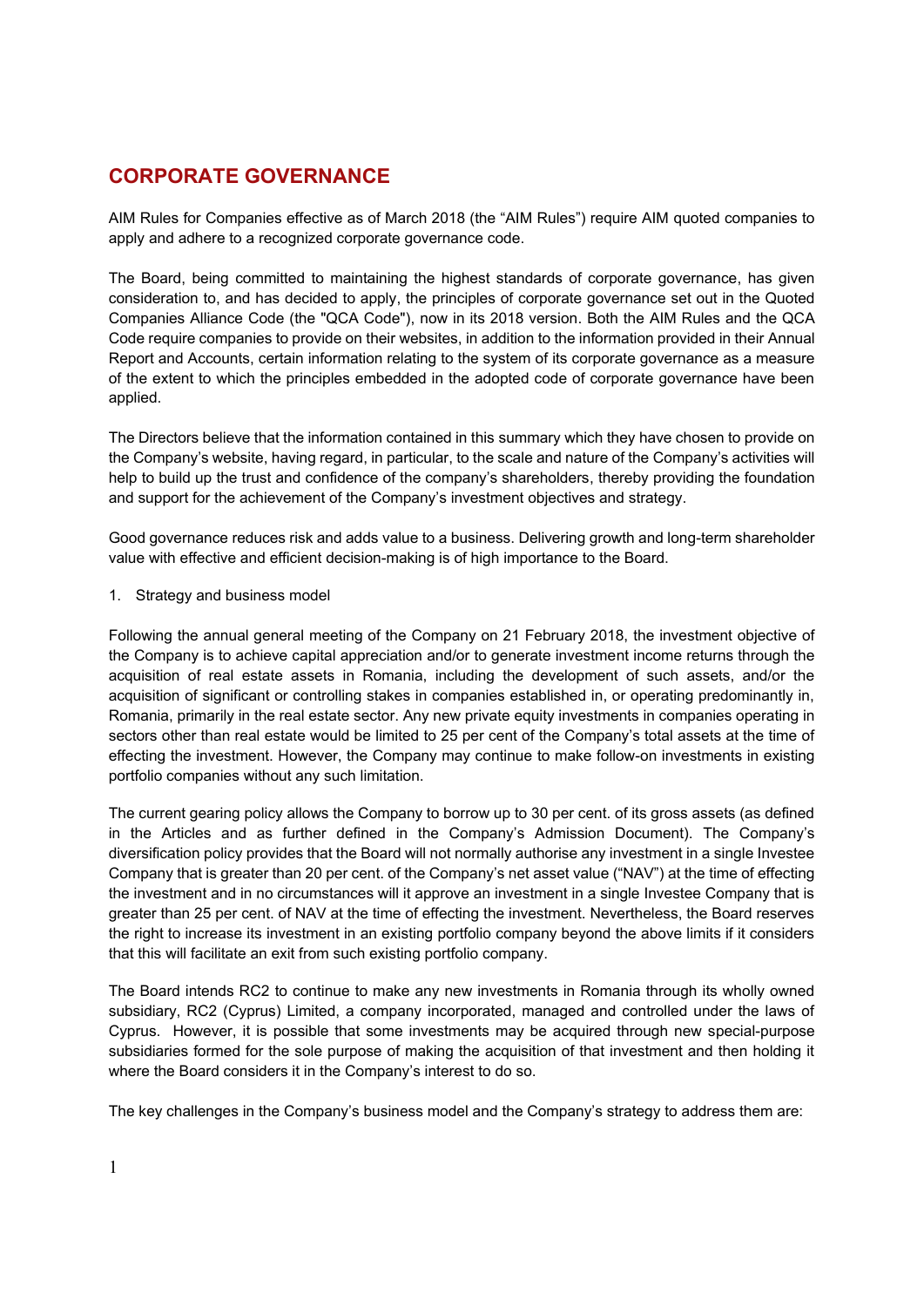# **CORPORATE GOVERNANCE**

AIM Rules for Companies effective as of March 2018 (the "AIM Rules") require AIM quoted companies to apply and adhere to a recognized corporate governance code.

The Board, being committed to maintaining the highest standards of corporate governance, has given consideration to, and has decided to apply, the principles of corporate governance set out in the Quoted Companies Alliance Code (the "QCA Code"), now in its 2018 version. Both the AIM Rules and the QCA Code require companies to provide on their websites, in addition to the information provided in their Annual Report and Accounts, certain information relating to the system of its corporate governance as a measure of the extent to which the principles embedded in the adopted code of corporate governance have been applied.

The Directors believe that the information contained in this summary which they have chosen to provide on the Company's website, having regard, in particular, to the scale and nature of the Company's activities will help to build up the trust and confidence of the company's shareholders, thereby providing the foundation and support for the achievement of the Company's investment objectives and strategy.

Good governance reduces risk and adds value to a business. Delivering growth and long-term shareholder value with effective and efficient decision-making is of high importance to the Board.

1. Strategy and business model

Following the annual general meeting of the Company on 21 February 2018, the investment objective of the Company is to achieve capital appreciation and/or to generate investment income returns through the acquisition of real estate assets in Romania, including the development of such assets, and/or the acquisition of significant or controlling stakes in companies established in, or operating predominantly in, Romania, primarily in the real estate sector. Any new private equity investments in companies operating in sectors other than real estate would be limited to 25 per cent of the Company's total assets at the time of effecting the investment. However, the Company may continue to make follow-on investments in existing portfolio companies without any such limitation.

The current gearing policy allows the Company to borrow up to 30 per cent. of its gross assets (as defined in the Articles and as further defined in the Company's Admission Document). The Company's diversification policy provides that the Board will not normally authorise any investment in a single Investee Company that is greater than 20 per cent. of the Company's net asset value ("NAV") at the time of effecting the investment and in no circumstances will it approve an investment in a single Investee Company that is greater than 25 per cent. of NAV at the time of effecting the investment. Nevertheless, the Board reserves the right to increase its investment in an existing portfolio company beyond the above limits if it considers that this will facilitate an exit from such existing portfolio company.

The Board intends RC2 to continue to make any new investments in Romania through its wholly owned subsidiary, RC2 (Cyprus) Limited, a company incorporated, managed and controlled under the laws of Cyprus. However, it is possible that some investments may be acquired through new special-purpose subsidiaries formed for the sole purpose of making the acquisition of that investment and then holding it where the Board considers it in the Company's interest to do so.

The key challenges in the Company's business model and the Company's strategy to address them are: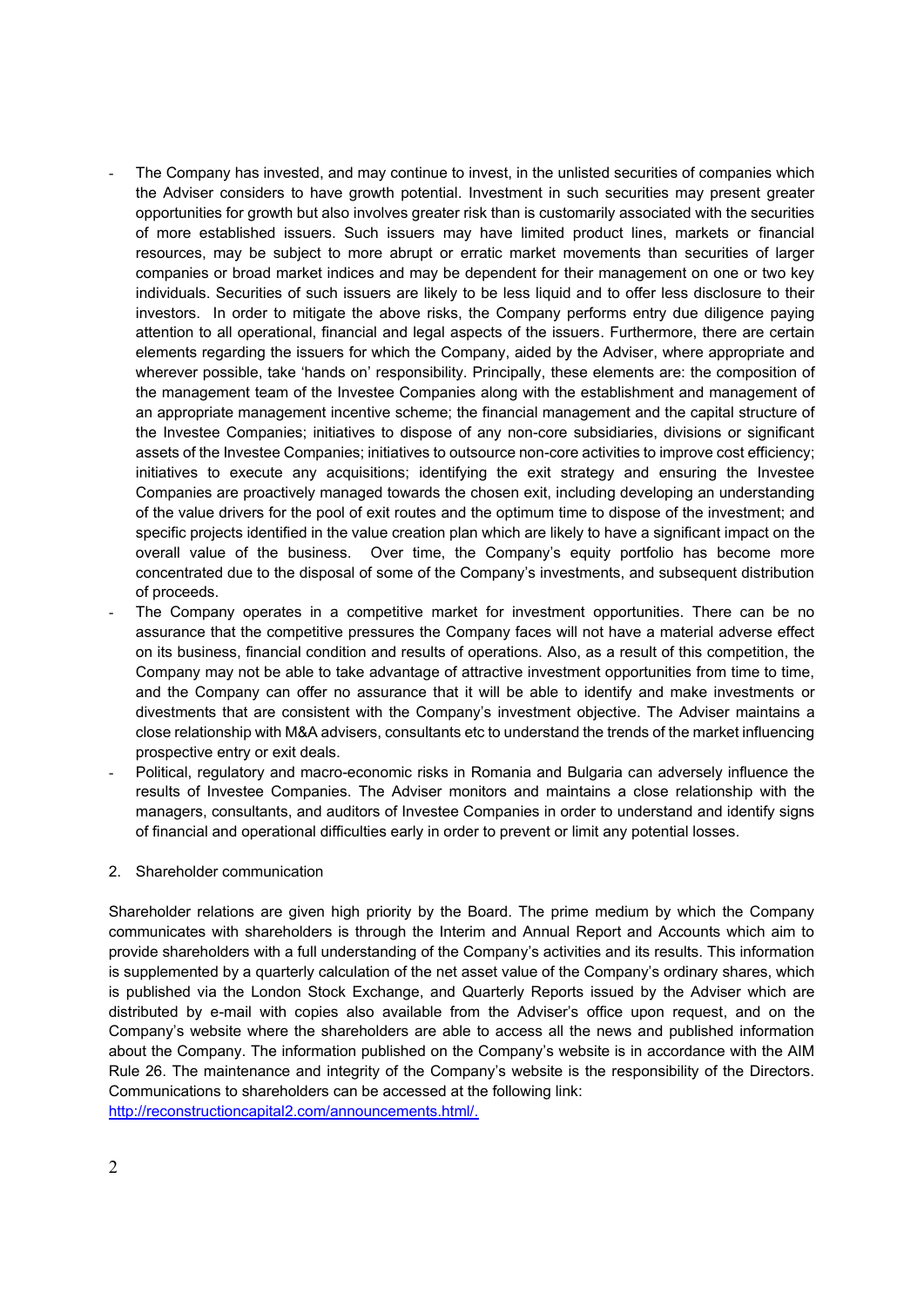- The Company has invested, and may continue to invest, in the unlisted securities of companies which the Adviser considers to have growth potential. Investment in such securities may present greater opportunities for growth but also involves greater risk than is customarily associated with the securities of more established issuers. Such issuers may have limited product lines, markets or financial resources, may be subject to more abrupt or erratic market movements than securities of larger companies or broad market indices and may be dependent for their management on one or two key individuals. Securities of such issuers are likely to be less liquid and to offer less disclosure to their investors. In order to mitigate the above risks, the Company performs entry due diligence paying attention to all operational, financial and legal aspects of the issuers. Furthermore, there are certain elements regarding the issuers for which the Company, aided by the Adviser, where appropriate and wherever possible, take 'hands on' responsibility. Principally, these elements are: the composition of the management team of the Investee Companies along with the establishment and management of an appropriate management incentive scheme; the financial management and the capital structure of the Investee Companies; initiatives to dispose of any non-core subsidiaries, divisions or significant assets of the Investee Companies; initiatives to outsource non-core activities to improve cost efficiency; initiatives to execute any acquisitions; identifying the exit strategy and ensuring the Investee Companies are proactively managed towards the chosen exit, including developing an understanding of the value drivers for the pool of exit routes and the optimum time to dispose of the investment; and specific projects identified in the value creation plan which are likely to have a significant impact on the overall value of the business. Over time, the Company's equity portfolio has become more concentrated due to the disposal of some of the Company's investments, and subsequent distribution of proceeds.
- The Company operates in a competitive market for investment opportunities. There can be no assurance that the competitive pressures the Company faces will not have a material adverse effect on its business, financial condition and results of operations. Also, as a result of this competition, the Company may not be able to take advantage of attractive investment opportunities from time to time, and the Company can offer no assurance that it will be able to identify and make investments or divestments that are consistent with the Company's investment objective. The Adviser maintains a close relationship with M&A advisers, consultants etc to understand the trends of the market influencing prospective entry or exit deals.
- Political, regulatory and macro-economic risks in Romania and Bulgaria can adversely influence the results of Investee Companies. The Adviser monitors and maintains a close relationship with the managers, consultants, and auditors of Investee Companies in order to understand and identify signs of financial and operational difficulties early in order to prevent or limit any potential losses.

#### 2. Shareholder communication

Shareholder relations are given high priority by the Board. The prime medium by which the Company communicates with shareholders is through the Interim and Annual Report and Accounts which aim to provide shareholders with a full understanding of the Company's activities and its results. This information is supplemented by a quarterly calculation of the net asset value of the Company's ordinary shares, which is published via the London Stock Exchange, and Quarterly Reports issued by the Adviser which are distributed by e-mail with copies also available from the Adviser's office upon request, and on the Company's website where the shareholders are able to access all the news and published information about the Company. The information published on the Company's website is in accordance with the AIM Rule 26. The maintenance and integrity of the Company's website is the responsibility of the Directors. Communications to shareholders can be accessed at the following link: http://reconstructioncapital2.com/announcements.html/.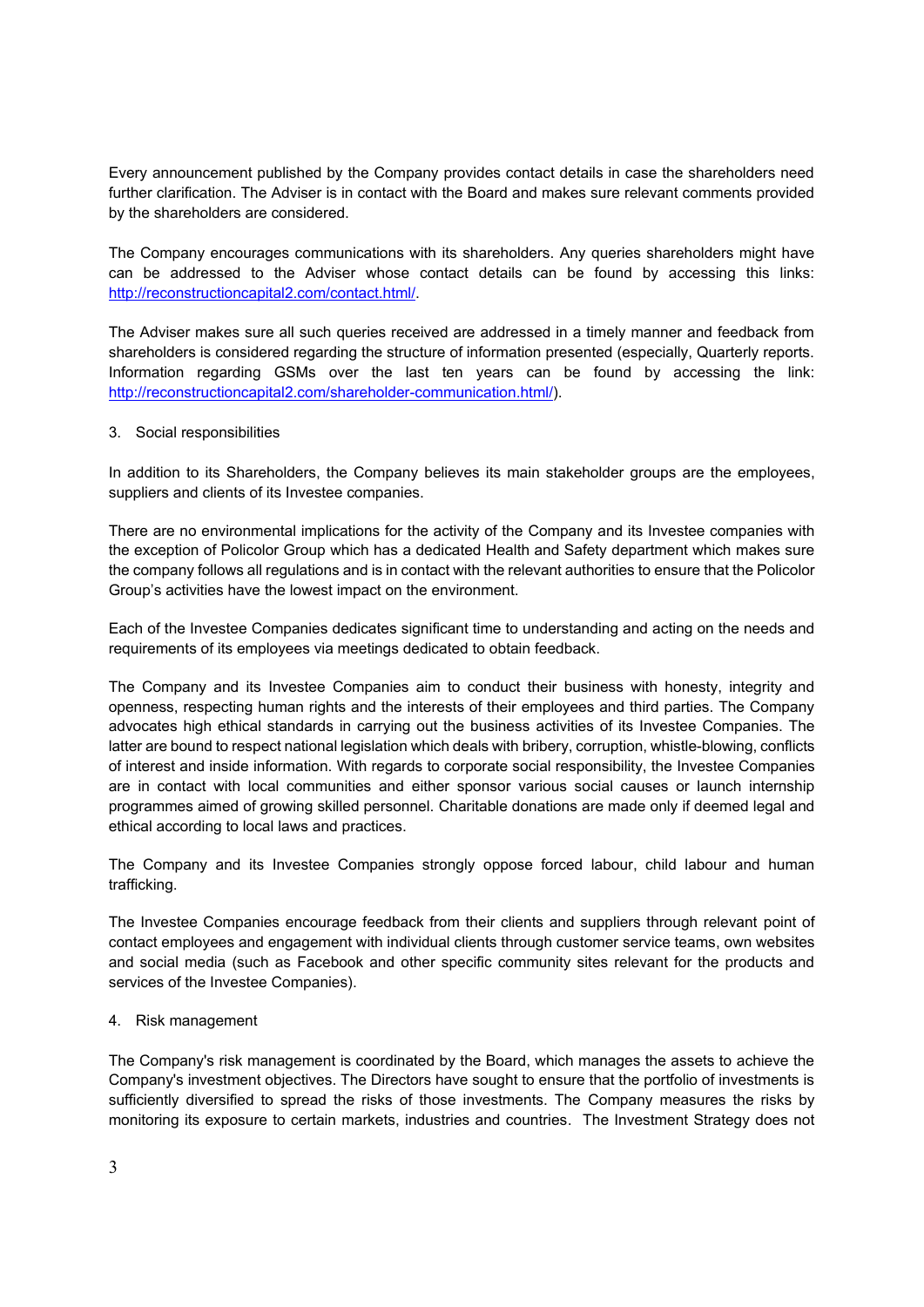Every announcement published by the Company provides contact details in case the shareholders need further clarification. The Adviser is in contact with the Board and makes sure relevant comments provided by the shareholders are considered.

The Company encourages communications with its shareholders. Any queries shareholders might have can be addressed to the Adviser whose contact details can be found by accessing this links: http://reconstructioncapital2.com/contact.html/.

The Adviser makes sure all such queries received are addressed in a timely manner and feedback from shareholders is considered regarding the structure of information presented (especially, Quarterly reports. Information regarding GSMs over the last ten years can be found by accessing the link: http://reconstructioncapital2.com/shareholder-communication.html/).

# 3. Social responsibilities

In addition to its Shareholders, the Company believes its main stakeholder groups are the employees, suppliers and clients of its Investee companies.

There are no environmental implications for the activity of the Company and its Investee companies with the exception of Policolor Group which has a dedicated Health and Safety department which makes sure the company follows all regulations and is in contact with the relevant authorities to ensure that the Policolor Group's activities have the lowest impact on the environment.

Each of the Investee Companies dedicates significant time to understanding and acting on the needs and requirements of its employees via meetings dedicated to obtain feedback.

The Company and its Investee Companies aim to conduct their business with honesty, integrity and openness, respecting human rights and the interests of their employees and third parties. The Company advocates high ethical standards in carrying out the business activities of its Investee Companies. The latter are bound to respect national legislation which deals with bribery, corruption, whistle-blowing, conflicts of interest and inside information. With regards to corporate social responsibility, the Investee Companies are in contact with local communities and either sponsor various social causes or launch internship programmes aimed of growing skilled personnel. Charitable donations are made only if deemed legal and ethical according to local laws and practices.

The Company and its Investee Companies strongly oppose forced labour, child labour and human trafficking.

The Investee Companies encourage feedback from their clients and suppliers through relevant point of contact employees and engagement with individual clients through customer service teams, own websites and social media (such as Facebook and other specific community sites relevant for the products and services of the Investee Companies).

#### 4. Risk management

The Company's risk management is coordinated by the Board, which manages the assets to achieve the Company's investment objectives. The Directors have sought to ensure that the portfolio of investments is sufficiently diversified to spread the risks of those investments. The Company measures the risks by monitoring its exposure to certain markets, industries and countries. The Investment Strategy does not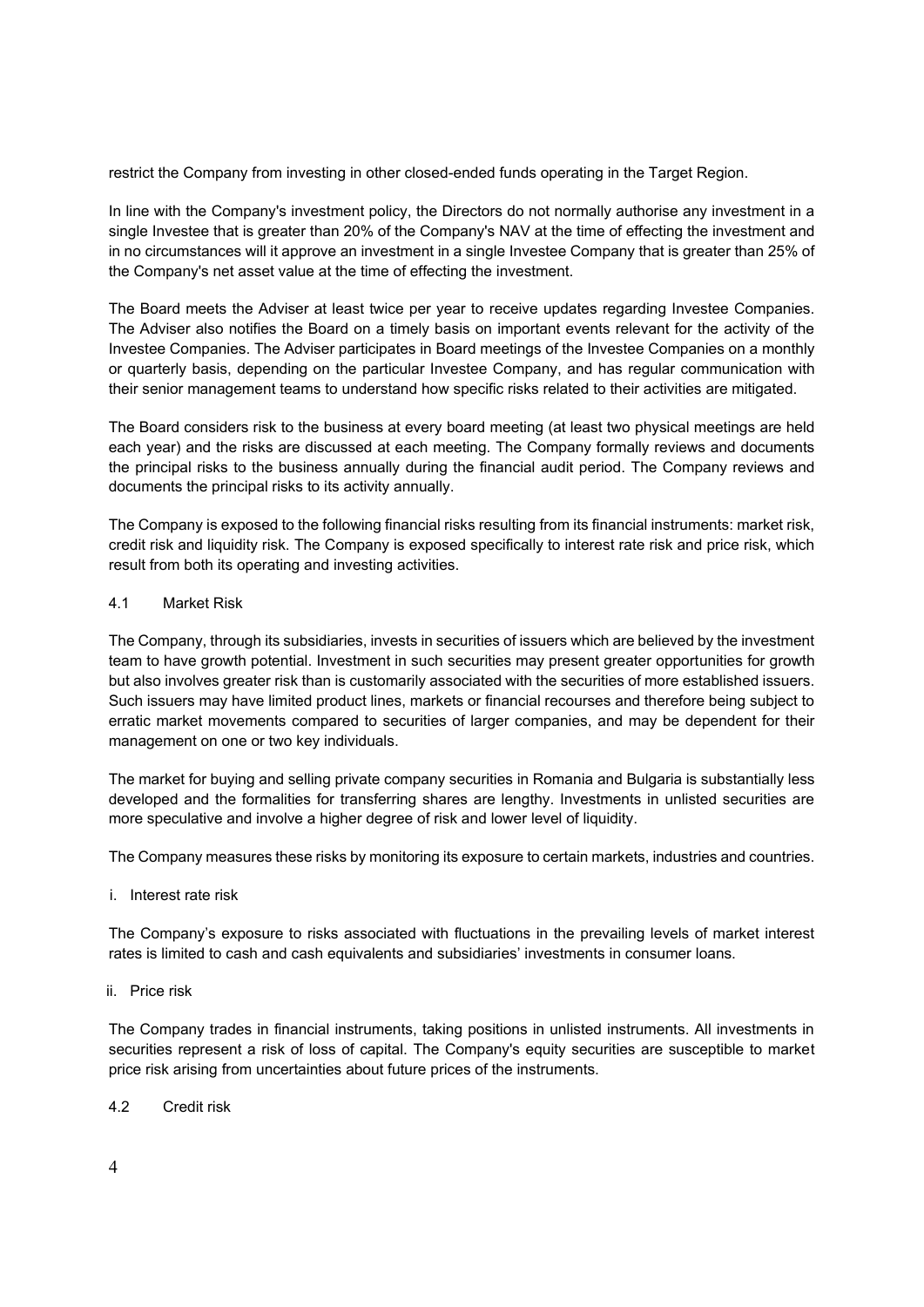restrict the Company from investing in other closed-ended funds operating in the Target Region.

In line with the Company's investment policy, the Directors do not normally authorise any investment in a single Investee that is greater than 20% of the Company's NAV at the time of effecting the investment and in no circumstances will it approve an investment in a single Investee Company that is greater than 25% of the Company's net asset value at the time of effecting the investment.

The Board meets the Adviser at least twice per year to receive updates regarding Investee Companies. The Adviser also notifies the Board on a timely basis on important events relevant for the activity of the Investee Companies. The Adviser participates in Board meetings of the Investee Companies on a monthly or quarterly basis, depending on the particular Investee Company, and has regular communication with their senior management teams to understand how specific risks related to their activities are mitigated.

The Board considers risk to the business at every board meeting (at least two physical meetings are held each year) and the risks are discussed at each meeting. The Company formally reviews and documents the principal risks to the business annually during the financial audit period. The Company reviews and documents the principal risks to its activity annually.

The Company is exposed to the following financial risks resulting from its financial instruments: market risk, credit risk and liquidity risk. The Company is exposed specifically to interest rate risk and price risk, which result from both its operating and investing activities.

# 4.1 Market Risk

The Company, through its subsidiaries, invests in securities of issuers which are believed by the investment team to have growth potential. Investment in such securities may present greater opportunities for growth but also involves greater risk than is customarily associated with the securities of more established issuers. Such issuers may have limited product lines, markets or financial recourses and therefore being subject to erratic market movements compared to securities of larger companies, and may be dependent for their management on one or two key individuals.

The market for buying and selling private company securities in Romania and Bulgaria is substantially less developed and the formalities for transferring shares are lengthy. Investments in unlisted securities are more speculative and involve a higher degree of risk and lower level of liquidity.

The Company measures these risks by monitoring its exposure to certain markets, industries and countries.

i. Interest rate risk

The Company's exposure to risks associated with fluctuations in the prevailing levels of market interest rates is limited to cash and cash equivalents and subsidiaries' investments in consumer loans.

ii. Price risk

The Company trades in financial instruments, taking positions in unlisted instruments. All investments in securities represent a risk of loss of capital. The Company's equity securities are susceptible to market price risk arising from uncertainties about future prices of the instruments.

4.2 Credit risk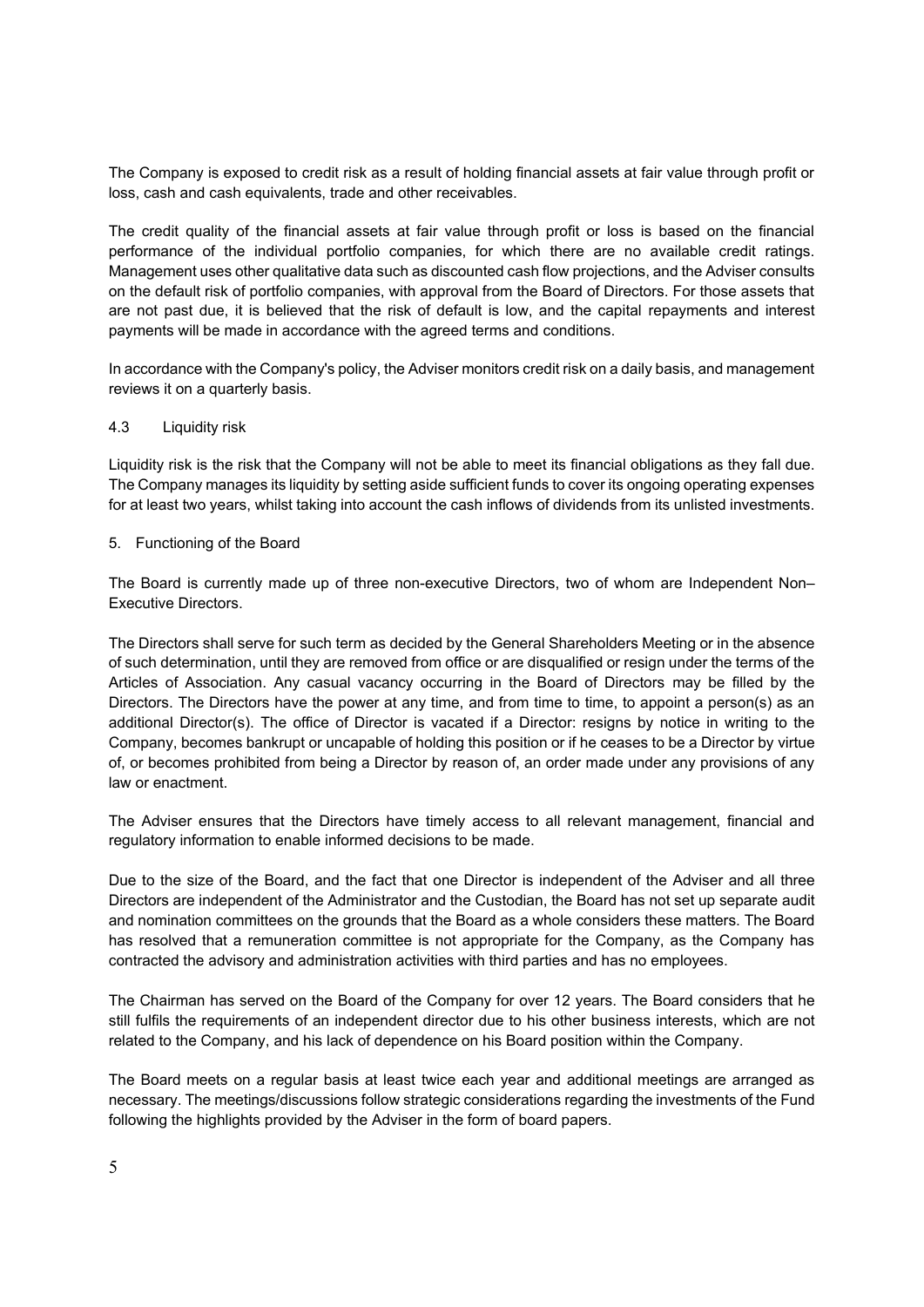The Company is exposed to credit risk as a result of holding financial assets at fair value through profit or loss, cash and cash equivalents, trade and other receivables.

The credit quality of the financial assets at fair value through profit or loss is based on the financial performance of the individual portfolio companies, for which there are no available credit ratings. Management uses other qualitative data such as discounted cash flow projections, and the Adviser consults on the default risk of portfolio companies, with approval from the Board of Directors. For those assets that are not past due, it is believed that the risk of default is low, and the capital repayments and interest payments will be made in accordance with the agreed terms and conditions.

In accordance with the Company's policy, the Adviser monitors credit risk on a daily basis, and management reviews it on a quarterly basis.

#### 4.3 Liquidity risk

Liquidity risk is the risk that the Company will not be able to meet its financial obligations as they fall due. The Company manages its liquidity by setting aside sufficient funds to cover its ongoing operating expenses for at least two years, whilst taking into account the cash inflows of dividends from its unlisted investments.

#### 5. Functioning of the Board

The Board is currently made up of three non-executive Directors, two of whom are Independent Non– Executive Directors.

The Directors shall serve for such term as decided by the General Shareholders Meeting or in the absence of such determination, until they are removed from office or are disqualified or resign under the terms of the Articles of Association. Any casual vacancy occurring in the Board of Directors may be filled by the Directors. The Directors have the power at any time, and from time to time, to appoint a person(s) as an additional Director(s). The office of Director is vacated if a Director: resigns by notice in writing to the Company, becomes bankrupt or uncapable of holding this position or if he ceases to be a Director by virtue of, or becomes prohibited from being a Director by reason of, an order made under any provisions of any law or enactment.

The Adviser ensures that the Directors have timely access to all relevant management, financial and regulatory information to enable informed decisions to be made.

Due to the size of the Board, and the fact that one Director is independent of the Adviser and all three Directors are independent of the Administrator and the Custodian, the Board has not set up separate audit and nomination committees on the grounds that the Board as a whole considers these matters. The Board has resolved that a remuneration committee is not appropriate for the Company, as the Company has contracted the advisory and administration activities with third parties and has no employees.

The Chairman has served on the Board of the Company for over 12 years. The Board considers that he still fulfils the requirements of an independent director due to his other business interests, which are not related to the Company, and his lack of dependence on his Board position within the Company.

The Board meets on a regular basis at least twice each year and additional meetings are arranged as necessary. The meetings/discussions follow strategic considerations regarding the investments of the Fund following the highlights provided by the Adviser in the form of board papers.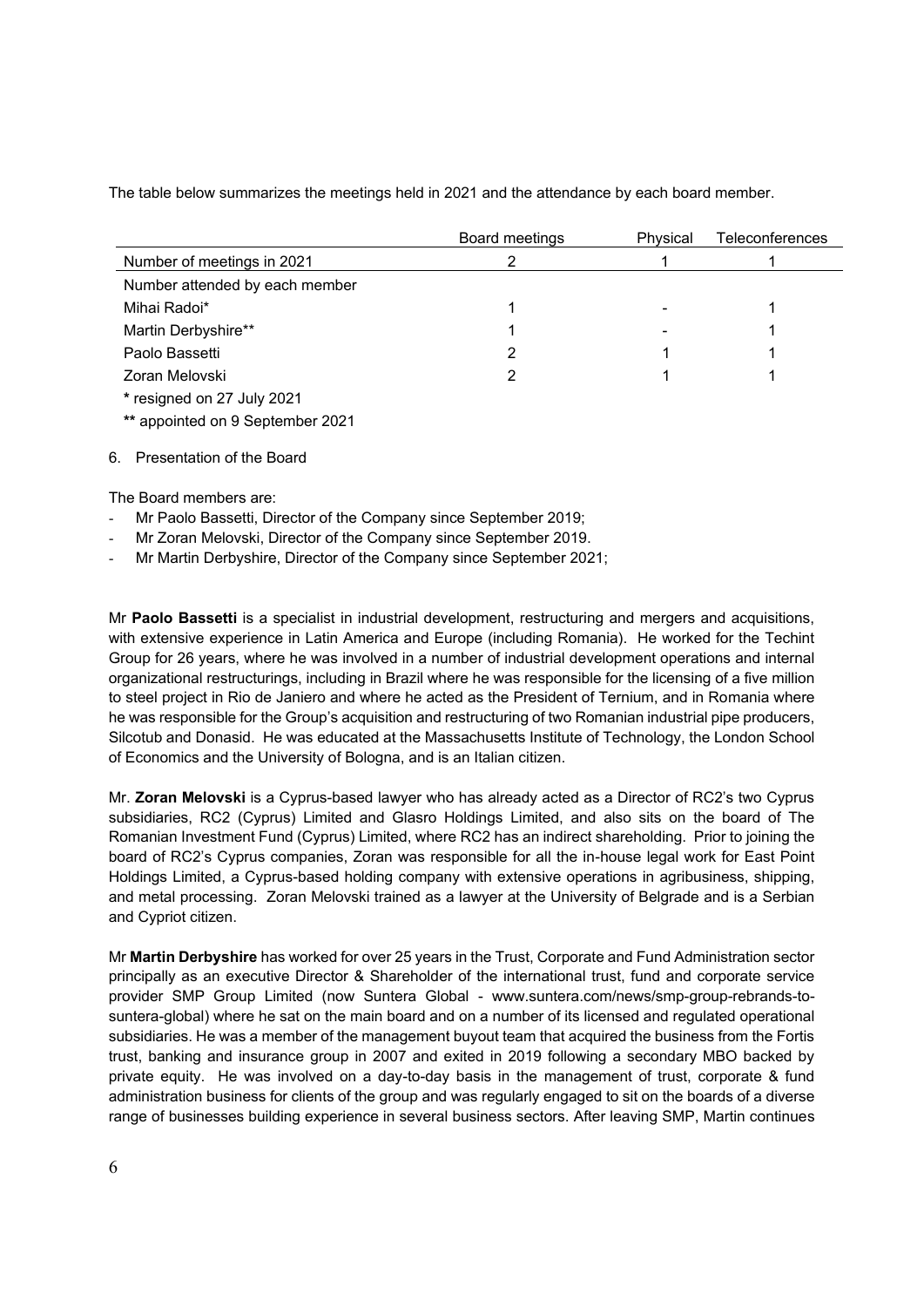The table below summarizes the meetings held in 2021 and the attendance by each board member.

|                                  | Board meetings | Physical | <b>Teleconferences</b> |
|----------------------------------|----------------|----------|------------------------|
| Number of meetings in 2021       | っ              |          |                        |
| Number attended by each member   |                |          |                        |
| Mihai Radoi*                     |                |          |                        |
| Martin Derbyshire**              |                |          |                        |
| Paolo Bassetti                   | 2              |          |                        |
| Zoran Melovski                   | 2              |          |                        |
| * resigned on 27 July 2021       |                |          |                        |
| ** appointed on 9 September 2021 |                |          |                        |
|                                  |                |          |                        |

### 6. Presentation of the Board

The Board members are:

- Mr Paolo Bassetti, Director of the Company since September 2019;
- Mr Zoran Melovski, Director of the Company since September 2019.
- Mr Martin Derbyshire, Director of the Company since September 2021;

Mr **Paolo Bassetti** is a specialist in industrial development, restructuring and mergers and acquisitions, with extensive experience in Latin America and Europe (including Romania). He worked for the Techint Group for 26 years, where he was involved in a number of industrial development operations and internal organizational restructurings, including in Brazil where he was responsible for the licensing of a five million to steel project in Rio de Janiero and where he acted as the President of Ternium, and in Romania where he was responsible for the Group's acquisition and restructuring of two Romanian industrial pipe producers, Silcotub and Donasid. He was educated at the Massachusetts Institute of Technology, the London School of Economics and the University of Bologna, and is an Italian citizen.

Mr. **Zoran Melovski** is a Cyprus-based lawyer who has already acted as a Director of RC2's two Cyprus subsidiaries, RC2 (Cyprus) Limited and Glasro Holdings Limited, and also sits on the board of The Romanian Investment Fund (Cyprus) Limited, where RC2 has an indirect shareholding. Prior to joining the board of RC2's Cyprus companies, Zoran was responsible for all the in-house legal work for East Point Holdings Limited, a Cyprus-based holding company with extensive operations in agribusiness, shipping, and metal processing. Zoran Melovski trained as a lawyer at the University of Belgrade and is a Serbian and Cypriot citizen.

Mr **Martin Derbyshire** has worked for over 25 years in the Trust, Corporate and Fund Administration sector principally as an executive Director & Shareholder of the international trust, fund and corporate service provider SMP Group Limited (now Suntera Global - www.suntera.com/news/smp-group-rebrands-tosuntera-global) where he sat on the main board and on a number of its licensed and regulated operational subsidiaries. He was a member of the management buyout team that acquired the business from the Fortis trust, banking and insurance group in 2007 and exited in 2019 following a secondary MBO backed by private equity. He was involved on a day-to-day basis in the management of trust, corporate & fund administration business for clients of the group and was regularly engaged to sit on the boards of a diverse range of businesses building experience in several business sectors. After leaving SMP, Martin continues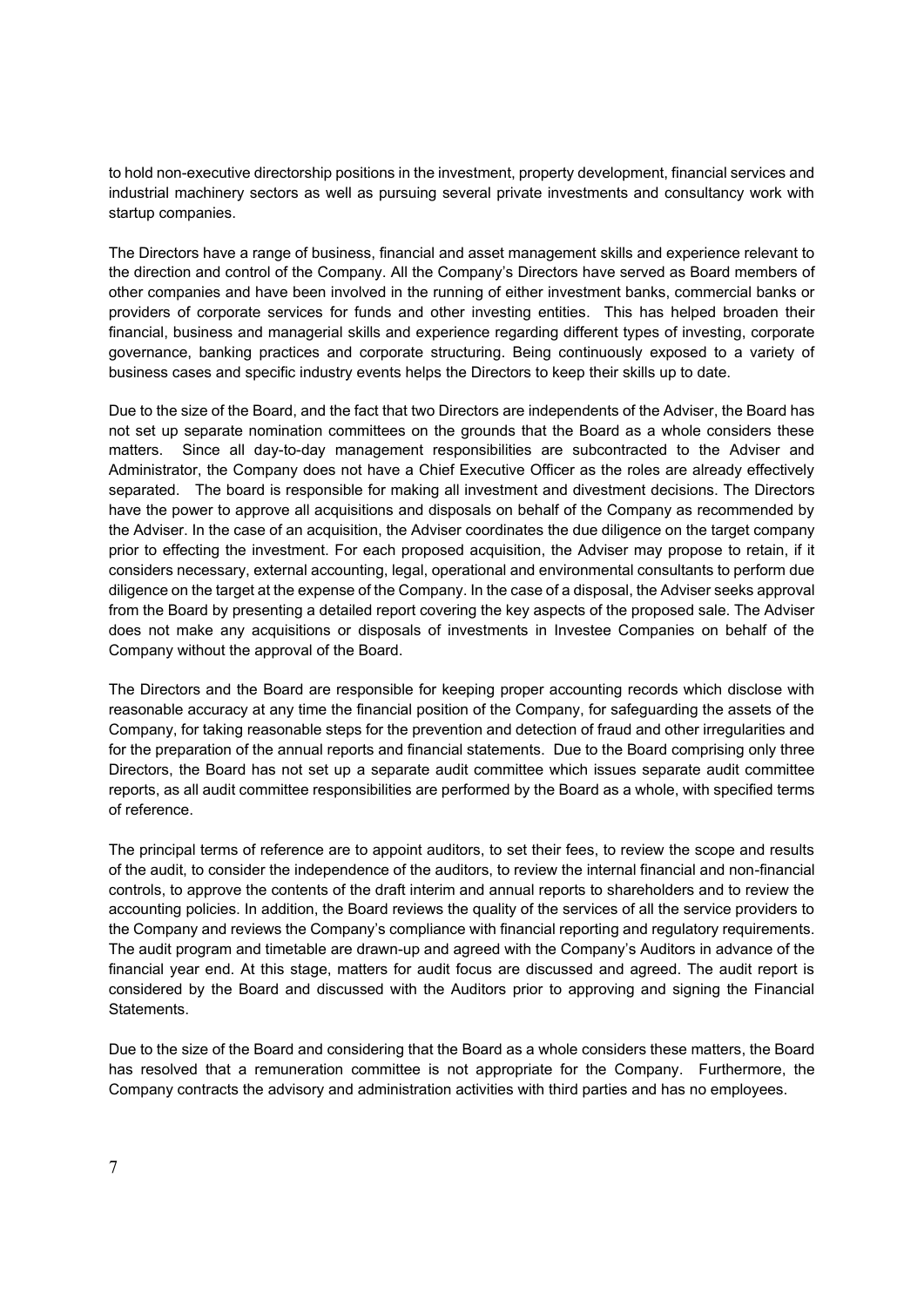to hold non-executive directorship positions in the investment, property development, financial services and industrial machinery sectors as well as pursuing several private investments and consultancy work with startup companies.

The Directors have a range of business, financial and asset management skills and experience relevant to the direction and control of the Company. All the Company's Directors have served as Board members of other companies and have been involved in the running of either investment banks, commercial banks or providers of corporate services for funds and other investing entities. This has helped broaden their financial, business and managerial skills and experience regarding different types of investing, corporate governance, banking practices and corporate structuring. Being continuously exposed to a variety of business cases and specific industry events helps the Directors to keep their skills up to date.

Due to the size of the Board, and the fact that two Directors are independents of the Adviser, the Board has not set up separate nomination committees on the grounds that the Board as a whole considers these matters. Since all day-to-day management responsibilities are subcontracted to the Adviser and Administrator, the Company does not have a Chief Executive Officer as the roles are already effectively separated. The board is responsible for making all investment and divestment decisions. The Directors have the power to approve all acquisitions and disposals on behalf of the Company as recommended by the Adviser. In the case of an acquisition, the Adviser coordinates the due diligence on the target company prior to effecting the investment. For each proposed acquisition, the Adviser may propose to retain, if it considers necessary, external accounting, legal, operational and environmental consultants to perform due diligence on the target at the expense of the Company. In the case of a disposal, the Adviser seeks approval from the Board by presenting a detailed report covering the key aspects of the proposed sale. The Adviser does not make any acquisitions or disposals of investments in Investee Companies on behalf of the Company without the approval of the Board.

The Directors and the Board are responsible for keeping proper accounting records which disclose with reasonable accuracy at any time the financial position of the Company, for safeguarding the assets of the Company, for taking reasonable steps for the prevention and detection of fraud and other irregularities and for the preparation of the annual reports and financial statements. Due to the Board comprising only three Directors, the Board has not set up a separate audit committee which issues separate audit committee reports, as all audit committee responsibilities are performed by the Board as a whole, with specified terms of reference.

The principal terms of reference are to appoint auditors, to set their fees, to review the scope and results of the audit, to consider the independence of the auditors, to review the internal financial and non-financial controls, to approve the contents of the draft interim and annual reports to shareholders and to review the accounting policies. In addition, the Board reviews the quality of the services of all the service providers to the Company and reviews the Company's compliance with financial reporting and regulatory requirements. The audit program and timetable are drawn-up and agreed with the Company's Auditors in advance of the financial year end. At this stage, matters for audit focus are discussed and agreed. The audit report is considered by the Board and discussed with the Auditors prior to approving and signing the Financial Statements.

Due to the size of the Board and considering that the Board as a whole considers these matters, the Board has resolved that a remuneration committee is not appropriate for the Company. Furthermore, the Company contracts the advisory and administration activities with third parties and has no employees.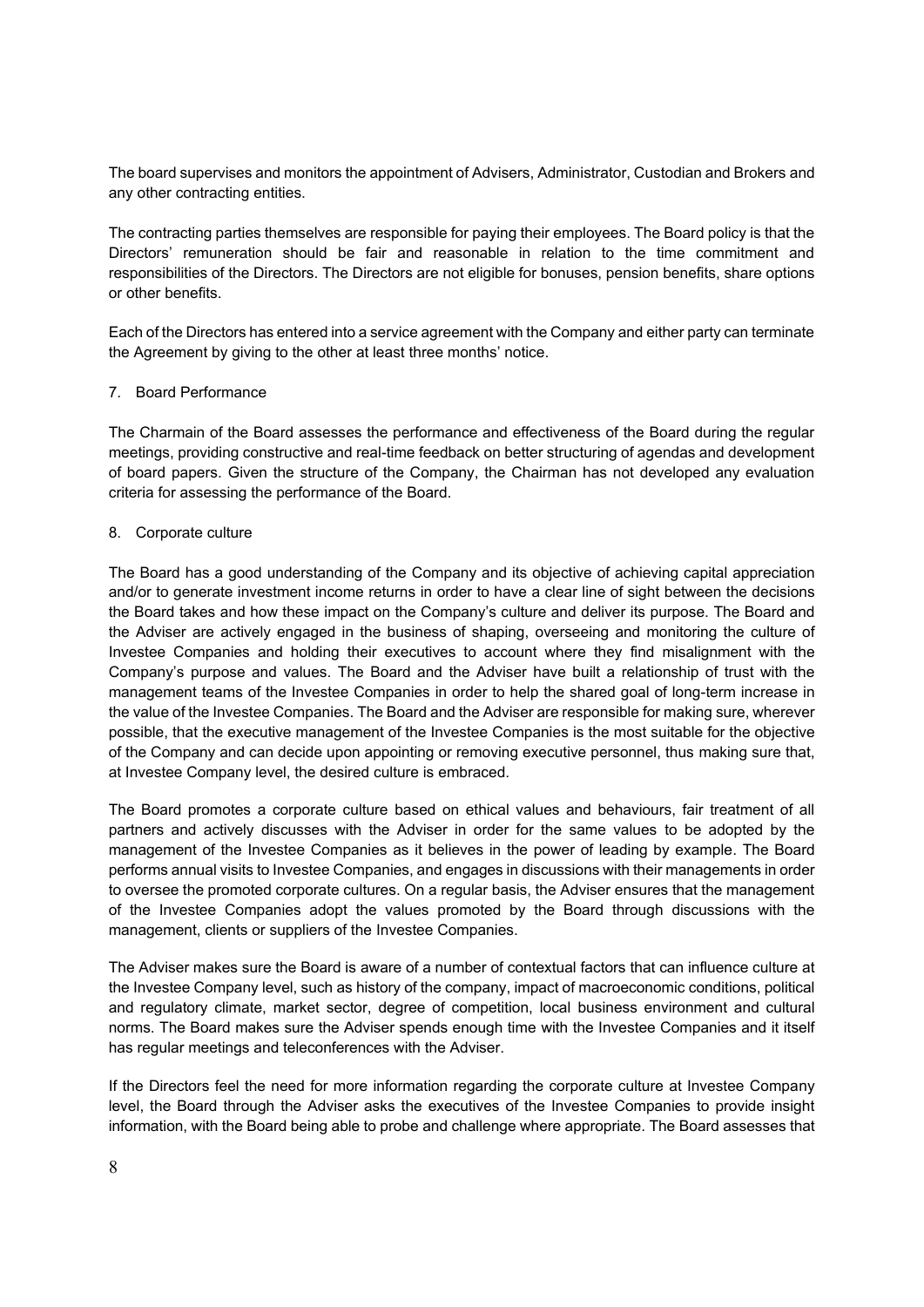The board supervises and monitors the appointment of Advisers, Administrator, Custodian and Brokers and any other contracting entities.

The contracting parties themselves are responsible for paying their employees. The Board policy is that the Directors' remuneration should be fair and reasonable in relation to the time commitment and responsibilities of the Directors. The Directors are not eligible for bonuses, pension benefits, share options or other benefits.

Each of the Directors has entered into a service agreement with the Company and either party can terminate the Agreement by giving to the other at least three months' notice.

#### 7. Board Performance

The Charmain of the Board assesses the performance and effectiveness of the Board during the regular meetings, providing constructive and real-time feedback on better structuring of agendas and development of board papers. Given the structure of the Company, the Chairman has not developed any evaluation criteria for assessing the performance of the Board.

# 8. Corporate culture

The Board has a good understanding of the Company and its objective of achieving capital appreciation and/or to generate investment income returns in order to have a clear line of sight between the decisions the Board takes and how these impact on the Company's culture and deliver its purpose. The Board and the Adviser are actively engaged in the business of shaping, overseeing and monitoring the culture of Investee Companies and holding their executives to account where they find misalignment with the Company's purpose and values. The Board and the Adviser have built a relationship of trust with the management teams of the Investee Companies in order to help the shared goal of long-term increase in the value of the Investee Companies. The Board and the Adviser are responsible for making sure, wherever possible, that the executive management of the Investee Companies is the most suitable for the objective of the Company and can decide upon appointing or removing executive personnel, thus making sure that, at Investee Company level, the desired culture is embraced.

The Board promotes a corporate culture based on ethical values and behaviours, fair treatment of all partners and actively discusses with the Adviser in order for the same values to be adopted by the management of the Investee Companies as it believes in the power of leading by example. The Board performs annual visits to Investee Companies, and engages in discussions with their managements in order to oversee the promoted corporate cultures. On a regular basis, the Adviser ensures that the management of the Investee Companies adopt the values promoted by the Board through discussions with the management, clients or suppliers of the Investee Companies.

The Adviser makes sure the Board is aware of a number of contextual factors that can influence culture at the Investee Company level, such as history of the company, impact of macroeconomic conditions, political and regulatory climate, market sector, degree of competition, local business environment and cultural norms. The Board makes sure the Adviser spends enough time with the Investee Companies and it itself has regular meetings and teleconferences with the Adviser.

If the Directors feel the need for more information regarding the corporate culture at Investee Company level, the Board through the Adviser asks the executives of the Investee Companies to provide insight information, with the Board being able to probe and challenge where appropriate. The Board assesses that